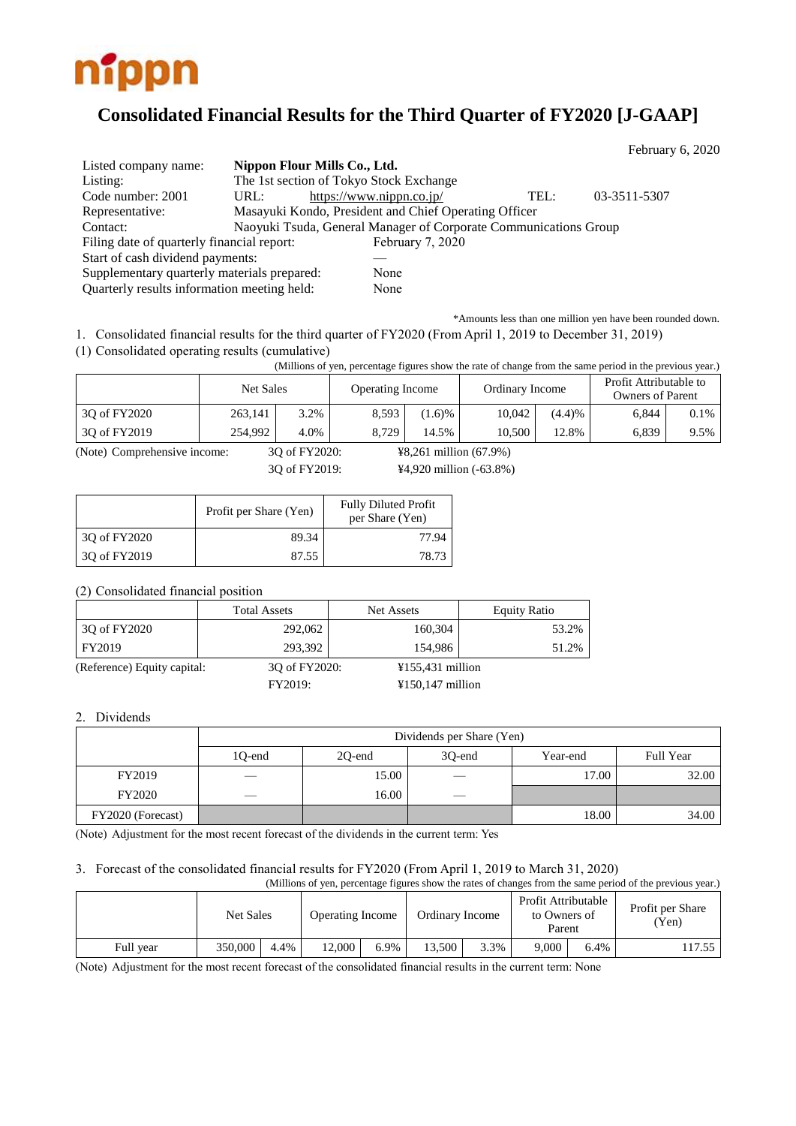

# **Consolidated Financial Results for the Third Quarter of FY2020 [J-GAAP]**

|                                             |      |                                                                  |      | February 6, 2020 |  |
|---------------------------------------------|------|------------------------------------------------------------------|------|------------------|--|
| Listed company name:                        |      | Nippon Flour Mills Co., Ltd.                                     |      |                  |  |
| Listing:                                    |      | The 1st section of Tokyo Stock Exchange                          |      |                  |  |
| Code number: 2001                           | URL: | https://www.nippn.co.jp/                                         | TEL: | 03-3511-5307     |  |
| Representative:                             |      | Masayuki Kondo, President and Chief Operating Officer            |      |                  |  |
| Contact:                                    |      | Naoyuki Tsuda, General Manager of Corporate Communications Group |      |                  |  |
| Filing date of quarterly financial report:  |      | February 7, 2020                                                 |      |                  |  |
| Start of cash dividend payments:            |      |                                                                  |      |                  |  |
| Supplementary quarterly materials prepared: |      | None                                                             |      |                  |  |
| Quarterly results information meeting held: |      | None                                                             |      |                  |  |

\*Amounts less than one million yen have been rounded down.

1. Consolidated financial results for the third quarter of FY2020 (From April 1, 2019 to December 31, 2019)

(1) Consolidated operating results (cumulative)

(Millions of yen, percentage figures show the rate of change from the same period in the previous year.)

|              | Net Sales |      | <b>Operating Income</b> |       | Ordinary Income |        | Profit Attributable to<br><b>Owners of Parent</b> |         |  |
|--------------|-----------|------|-------------------------|-------|-----------------|--------|---------------------------------------------------|---------|--|
| 30 of FY2020 | 263,141   | 3.2% | 8,593                   | 1.6%  | 10.042          | (4.4)% | 6,844                                             | $0.1\%$ |  |
| 30 of FY2019 | 254,992   | 4.0% | 8.729                   | 14.5% | 10.500          | 12.8%  | 6.839                                             | 9.5%    |  |

(Note) Comprehensive income: 3Q of FY2020: ¥8,261 million (67.9%)

3Q of FY2019: ¥4,920 million (-63.8%)

|              | Profit per Share (Yen) | <b>Fully Diluted Profit</b><br>per Share (Yen) |
|--------------|------------------------|------------------------------------------------|
| 3Q of FY2020 | 89.34                  | 77.94                                          |
| 3Q of FY2019 | 87.55                  | 78.73                                          |

(2) Consolidated financial position

|                             | <b>Total Assets</b> | Net Assets                            | <b>Equity Ratio</b> |
|-----------------------------|---------------------|---------------------------------------|---------------------|
| 30 of FY2020                | 292,062             | 160,304                               | 53.2%               |
| FY2019                      | 293.392             | 154.986                               | 51.2%               |
| (Reference) Equity capital: | 30 of FY2020:       | $¥155,431$ million                    |                     |
|                             | <b>FY2019:</b>      | $\text{\textsterling}150,147$ million |                     |

#### 2. Dividends

|                   | Dividends per Share (Yen) |        |                 |          |           |  |  |  |  |  |
|-------------------|---------------------------|--------|-----------------|----------|-----------|--|--|--|--|--|
|                   | 1Q-end                    | 20-end | 30-end          | Year-end | Full Year |  |  |  |  |  |
| FY2019            | $\sim$                    | 15.00  | $\qquad \qquad$ | 17.00    | 32.00     |  |  |  |  |  |
| <b>FY2020</b>     | $\sim$                    | 16.00  |                 |          |           |  |  |  |  |  |
| FY2020 (Forecast) |                           |        |                 | 18.00    | 34.00     |  |  |  |  |  |

(Note) Adjustment for the most recent forecast of the dividends in the current term: Yes

### 3. Forecast of the consolidated financial results for FY2020 (From April 1, 2019 to March 31, 2020)

(Millions of yen, percentage figures show the rates of changes from the same period of the previous year.)

|           | Net Sales |      | <b>Operating Income</b> |      | Ordinary Income |      | Profit Attributable<br>to Owners of<br>Parent |      | Profit per Share<br>'Yen) |
|-----------|-----------|------|-------------------------|------|-----------------|------|-----------------------------------------------|------|---------------------------|
| Full vear | 350,000   | 4.4% | 12.000                  | 6.9% | 13.500          | 3.3% | 9.000                                         | 6.4% | .17.55                    |

(Note) Adjustment for the most recent forecast of the consolidated financial results in the current term: None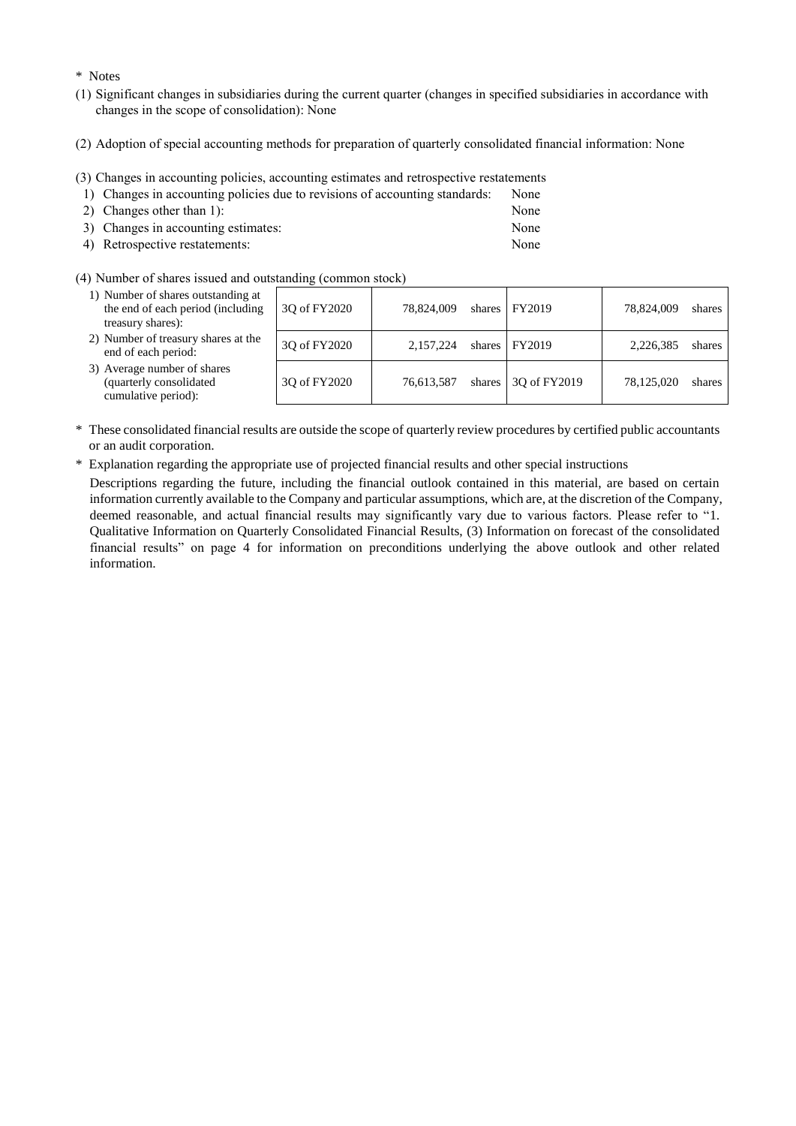\* Notes

- (1) Significant changes in subsidiaries during the current quarter (changes in specified subsidiaries in accordance with changes in the scope of consolidation): None
- (2) Adoption of special accounting methods for preparation of quarterly consolidated financial information: None
- (3) Changes in accounting policies, accounting estimates and retrospective restatements

|                                                         |  |  |  |  | 1) Changes in accounting policies due to revisions of accounting standards: None |  |
|---------------------------------------------------------|--|--|--|--|----------------------------------------------------------------------------------|--|
| $\sim$ $\sim$ $\sim$ $\sim$ $\sim$ $\sim$ $\sim$ $\sim$ |  |  |  |  |                                                                                  |  |

| 2) Changes other than 1):           | None |
|-------------------------------------|------|
| 3) Changes in accounting estimates: | None |
| 4) Retrospective restatements:      | None |

(4) Number of shares issued and outstanding (common stock)

| 1) Number of shares outstanding at<br>the end of each period (including<br>treasury shares): | 30 of FY2020 | 78,824,009 | shares $\vert$ FY2019       | 78,824,009 | shares |
|----------------------------------------------------------------------------------------------|--------------|------------|-----------------------------|------------|--------|
| 2) Number of treasury shares at the<br>end of each period:                                   | 30 of FY2020 | 2.157.224  | shares FY2019               | 2,226,385  | shares |
| 3) Average number of shares<br>(quarterly consolidated<br>cumulative period):                | 30 of FY2020 | 76.613.587 | shares $\vert$ 30 of FY2019 | 78,125,020 | shares |

- \* These consolidated financial results are outside the scope of quarterly review procedures by certified public accountants or an audit corporation.
- \* Explanation regarding the appropriate use of projected financial results and other special instructions

Descriptions regarding the future, including the financial outlook contained in this material, are based on certain information currently available to the Company and particular assumptions, which are, at the discretion of the Company, deemed reasonable, and actual financial results may significantly vary due to various factors. Please refer to "1. Qualitative Information on Quarterly Consolidated Financial Results, (3) Information on forecast of the consolidated financial results" on page 4 for information on preconditions underlying the above outlook and other related information.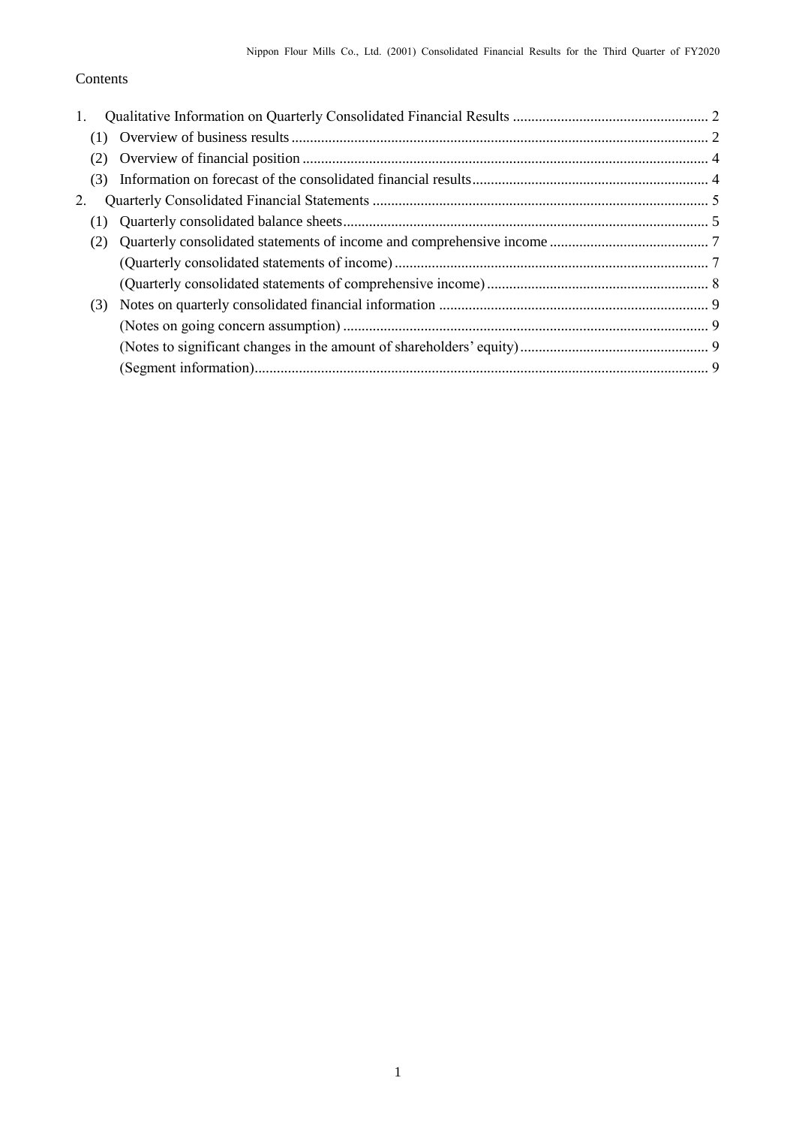## Contents

| 1.  |  |
|-----|--|
|     |  |
|     |  |
| (3) |  |
| 2.  |  |
|     |  |
|     |  |
|     |  |
|     |  |
| (3) |  |
|     |  |
|     |  |
|     |  |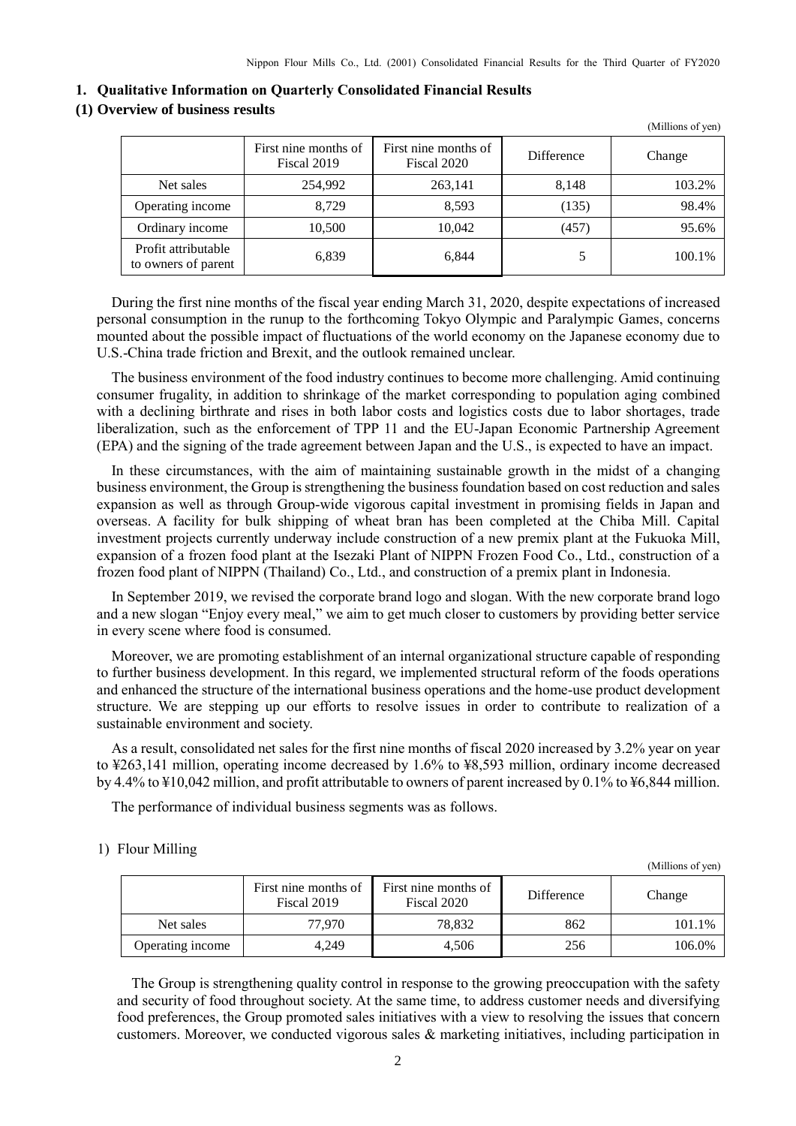#### <span id="page-3-0"></span>**1. Qualitative Information on Quarterly Consolidated Financial Results**

### <span id="page-3-1"></span>**(1) Overview of business results**

|                                            |                                     |                                     |                   | (Millions of yen) |
|--------------------------------------------|-------------------------------------|-------------------------------------|-------------------|-------------------|
|                                            | First nine months of<br>Fiscal 2019 | First nine months of<br>Fiscal 2020 | <b>Difference</b> | Change            |
| Net sales                                  | 254,992                             | 263,141                             | 8,148             | 103.2%            |
| Operating income                           | 8.729                               | 8.593                               | (135)             | 98.4%             |
| Ordinary income                            | 10,500                              | 10,042                              | (457)             | 95.6%             |
| Profit attributable<br>to owners of parent | 6,839                               | 6,844                               |                   | 100.1%            |

During the first nine months of the fiscal year ending March 31, 2020, despite expectations of increased personal consumption in the runup to the forthcoming Tokyo Olympic and Paralympic Games, concerns mounted about the possible impact of fluctuations of the world economy on the Japanese economy due to U.S.-China trade friction and Brexit, and the outlook remained unclear.

The business environment of the food industry continues to become more challenging. Amid continuing consumer frugality, in addition to shrinkage of the market corresponding to population aging combined with a declining birthrate and rises in both labor costs and logistics costs due to labor shortages, trade liberalization, such as the enforcement of TPP 11 and the EU-Japan Economic Partnership Agreement (EPA) and the signing of the trade agreement between Japan and the U.S., is expected to have an impact.

In these circumstances, with the aim of maintaining sustainable growth in the midst of a changing business environment, the Group is strengthening the business foundation based on cost reduction and sales expansion as well as through Group-wide vigorous capital investment in promising fields in Japan and overseas. A facility for bulk shipping of wheat bran has been completed at the Chiba Mill. Capital investment projects currently underway include construction of a new premix plant at the Fukuoka Mill, expansion of a frozen food plant at the Isezaki Plant of NIPPN Frozen Food Co., Ltd., construction of a frozen food plant of NIPPN (Thailand) Co., Ltd., and construction of a premix plant in Indonesia.

In September 2019, we revised the corporate brand logo and slogan. With the new corporate brand logo and a new slogan "Enjoy every meal," we aim to get much closer to customers by providing better service in every scene where food is consumed.

Moreover, we are promoting establishment of an internal organizational structure capable of responding to further business development. In this regard, we implemented structural reform of the foods operations and enhanced the structure of the international business operations and the home-use product development structure. We are stepping up our efforts to resolve issues in order to contribute to realization of a sustainable environment and society.

As a result, consolidated net sales for the first nine months of fiscal 2020 increased by 3.2% year on year to ¥263,141 million, operating income decreased by 1.6% to ¥8,593 million, ordinary income decreased by 4.4% to ¥10,042 million, and profit attributable to owners of parent increased by 0.1% to ¥6,844 million.

The performance of individual business segments was as follows.

#### 1) Flour Milling

|                  | First nine months of<br>Fiscal 2019 | First nine months of<br>Fiscal 2020 | Difference | Change |
|------------------|-------------------------------------|-------------------------------------|------------|--------|
| Net sales        | 77.970                              | 78.832                              | 862        | 101.1% |
| Operating income | 4.249                               | 4.506                               | 256        | 106.0% |

(Millions of yen)

The Group is strengthening quality control in response to the growing preoccupation with the safety and security of food throughout society. At the same time, to address customer needs and diversifying food preferences, the Group promoted sales initiatives with a view to resolving the issues that concern customers. Moreover, we conducted vigorous sales & marketing initiatives, including participation in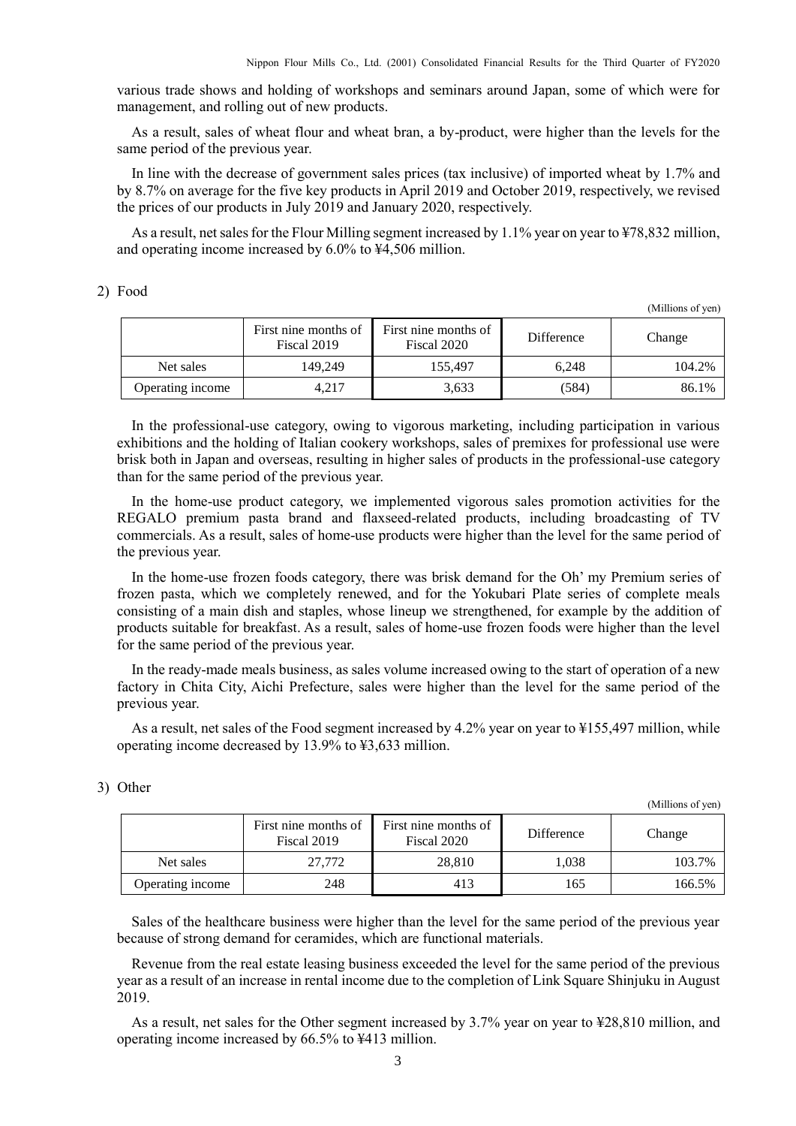various trade shows and holding of workshops and seminars around Japan, some of which were for management, and rolling out of new products.

As a result, sales of wheat flour and wheat bran, a by-product, were higher than the levels for the same period of the previous year.

In line with the decrease of government sales prices (tax inclusive) of imported wheat by 1.7% and by 8.7% on average for the five key products in April 2019 and October 2019, respectively, we revised the prices of our products in July 2019 and January 2020, respectively.

As a result, net sales for the Flour Milling segment increased by 1.1% year on year to ¥78,832 million, and operating income increased by 6.0% to ¥4,506 million.

### 2) Food

(Millions of yen)

(Millions of yen)

|                  | First nine months of<br>Fiscal 2019 | First nine months of<br>Fiscal 2020 | <b>Difference</b> | Change |
|------------------|-------------------------------------|-------------------------------------|-------------------|--------|
| Net sales        | 149.249                             | 155.497                             | 6.248             | 104.2% |
| Operating income | 4.217                               | 3.633                               | (584)             | 86.1%  |

In the professional-use category, owing to vigorous marketing, including participation in various exhibitions and the holding of Italian cookery workshops, sales of premixes for professional use were brisk both in Japan and overseas, resulting in higher sales of products in the professional-use category than for the same period of the previous year.

In the home-use product category, we implemented vigorous sales promotion activities for the REGALO premium pasta brand and flaxseed-related products, including broadcasting of TV commercials. As a result, sales of home-use products were higher than the level for the same period of the previous year.

In the home-use frozen foods category, there was brisk demand for the Oh' my Premium series of frozen pasta, which we completely renewed, and for the Yokubari Plate series of complete meals consisting of a main dish and staples, whose lineup we strengthened, for example by the addition of products suitable for breakfast. As a result, sales of home-use frozen foods were higher than the level for the same period of the previous year.

In the ready-made meals business, as sales volume increased owing to the start of operation of a new factory in Chita City, Aichi Prefecture, sales were higher than the level for the same period of the previous year.

As a result, net sales of the Food segment increased by 4.2% year on year to ¥155,497 million, while operating income decreased by 13.9% to ¥3,633 million.

|                  | First nine months of<br>Fiscal 2019 | First nine months of<br>Fiscal 2020 | Difference | Change |
|------------------|-------------------------------------|-------------------------------------|------------|--------|
| Net sales        | 27,772                              | 28.810                              | 1.038      | 103.7% |
| Operating income | 248                                 | 413                                 | 165        | 166.5% |

#### 3) Other

Sales of the healthcare business were higher than the level for the same period of the previous year because of strong demand for ceramides, which are functional materials.

Revenue from the real estate leasing business exceeded the level for the same period of the previous year as a result of an increase in rental income due to the completion of Link Square Shinjuku in August 2019.

As a result, net sales for the Other segment increased by 3.7% year on year to ¥28,810 million, and operating income increased by 66.5% to ¥413 million.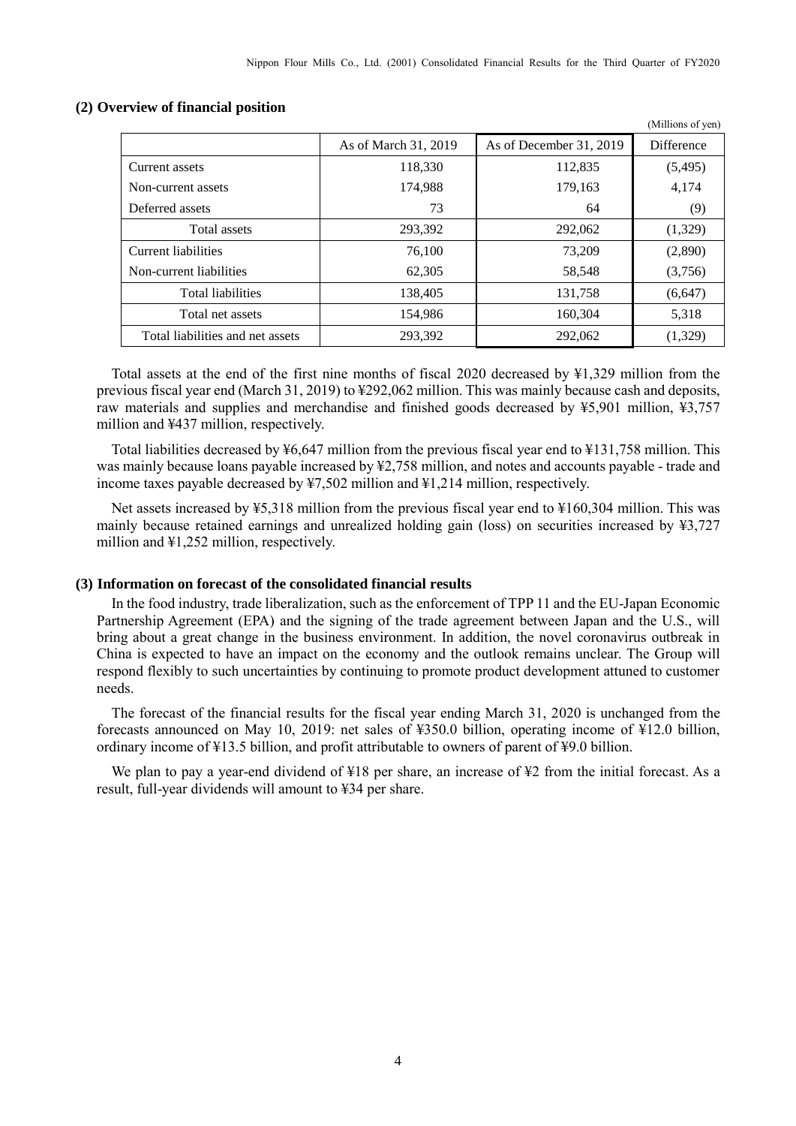(Millions of yen)

|                                  | As of March 31, 2019 | As of December 31, 2019 | Difference |
|----------------------------------|----------------------|-------------------------|------------|
| Current assets                   | 118,330              | 112,835                 | (5, 495)   |
| Non-current assets               | 174,988              | 179,163                 | 4,174      |
| Deferred assets                  | 73                   | 64                      | (9)        |
| Total assets                     | 293,392              | 292,062                 | (1,329)    |
| Current liabilities              | 76,100               | 73,209                  | (2,890)    |
| Non-current liabilities          | 62,305               | 58,548                  | (3,756)    |
| <b>Total liabilities</b>         | 138,405              | 131.758                 | (6,647)    |
| Total net assets                 | 154.986              | 160.304                 | 5,318      |
| Total liabilities and net assets | 293,392              | 292,062                 | (1, 329)   |

#### <span id="page-5-0"></span>**(2) Overview of financial position**

Total assets at the end of the first nine months of fiscal 2020 decreased by ¥1,329 million from the previous fiscal year end (March 31, 2019) to ¥292,062 million. This was mainly because cash and deposits, raw materials and supplies and merchandise and finished goods decreased by ¥5,901 million, ¥3,757 million and ¥437 million, respectively.

Total liabilities decreased by ¥6,647 million from the previous fiscal year end to ¥131,758 million. This was mainly because loans payable increased by ¥2,758 million, and notes and accounts payable - trade and income taxes payable decreased by ¥7,502 million and ¥1,214 million, respectively.

Net assets increased by ¥5,318 million from the previous fiscal year end to ¥160,304 million. This was mainly because retained earnings and unrealized holding gain (loss) on securities increased by ¥3,727 million and ¥1,252 million, respectively.

### <span id="page-5-1"></span>**(3) Information on forecast of the consolidated financial results**

In the food industry, trade liberalization, such as the enforcement of TPP 11 and the EU-Japan Economic Partnership Agreement (EPA) and the signing of the trade agreement between Japan and the U.S., will bring about a great change in the business environment. In addition, the novel coronavirus outbreak in China is expected to have an impact on the economy and the outlook remains unclear. The Group will respond flexibly to such uncertainties by continuing to promote product development attuned to customer needs.

The forecast of the financial results for the fiscal year ending March 31, 2020 is unchanged from the forecasts announced on May 10, 2019: net sales of ¥350.0 billion, operating income of ¥12.0 billion, ordinary income of ¥13.5 billion, and profit attributable to owners of parent of ¥9.0 billion.

We plan to pay a year-end dividend of ¥18 per share, an increase of ¥2 from the initial forecast. As a result, full-year dividends will amount to ¥34 per share.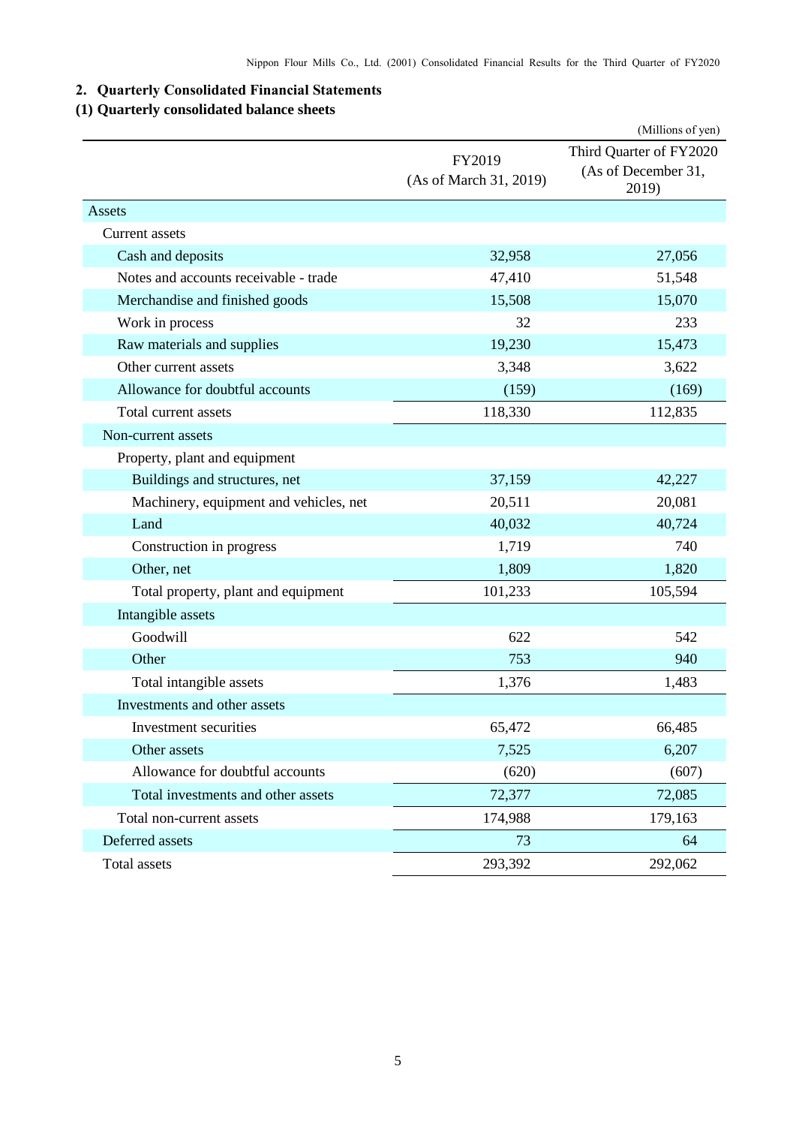## <span id="page-6-0"></span>**2. Quarterly Consolidated Financial Statements**

## <span id="page-6-1"></span>**(1) Quarterly consolidated balance sheets**

|                                        |                                  | (Millions of yen)                                       |  |
|----------------------------------------|----------------------------------|---------------------------------------------------------|--|
|                                        | FY2019<br>(As of March 31, 2019) | Third Quarter of FY2020<br>(As of December 31,<br>2019) |  |
| Assets                                 |                                  |                                                         |  |
| Current assets                         |                                  |                                                         |  |
| Cash and deposits                      | 32,958                           | 27,056                                                  |  |
| Notes and accounts receivable - trade  | 47,410                           | 51,548                                                  |  |
| Merchandise and finished goods         | 15,508                           | 15,070                                                  |  |
| Work in process                        | 32                               | 233                                                     |  |
| Raw materials and supplies             | 19,230                           | 15,473                                                  |  |
| Other current assets                   | 3,348                            | 3,622                                                   |  |
| Allowance for doubtful accounts        | (159)                            | (169)                                                   |  |
| Total current assets                   | 118,330                          | 112,835                                                 |  |
| Non-current assets                     |                                  |                                                         |  |
| Property, plant and equipment          |                                  |                                                         |  |
| Buildings and structures, net          | 37,159                           | 42,227                                                  |  |
| Machinery, equipment and vehicles, net | 20,511                           | 20,081                                                  |  |
| Land                                   | 40,032                           | 40,724                                                  |  |
| Construction in progress               | 1,719                            | 740                                                     |  |
| Other, net                             | 1,809                            | 1,820                                                   |  |
| Total property, plant and equipment    | 101,233                          | 105,594                                                 |  |
| Intangible assets                      |                                  |                                                         |  |
| Goodwill                               | 622                              | 542                                                     |  |
| Other                                  | 753                              | 940                                                     |  |
| Total intangible assets                | 1,376                            | 1,483                                                   |  |
| Investments and other assets           |                                  |                                                         |  |
| Investment securities                  | 65,472                           | 66,485                                                  |  |
| Other assets                           | 7,525                            | 6,207                                                   |  |
| Allowance for doubtful accounts        | (620)                            | (607)                                                   |  |
| Total investments and other assets     | 72,377                           | 72,085                                                  |  |
| Total non-current assets               | 174,988                          | 179,163                                                 |  |
| Deferred assets                        | 73                               | 64                                                      |  |
| Total assets                           | 293,392                          | 292,062                                                 |  |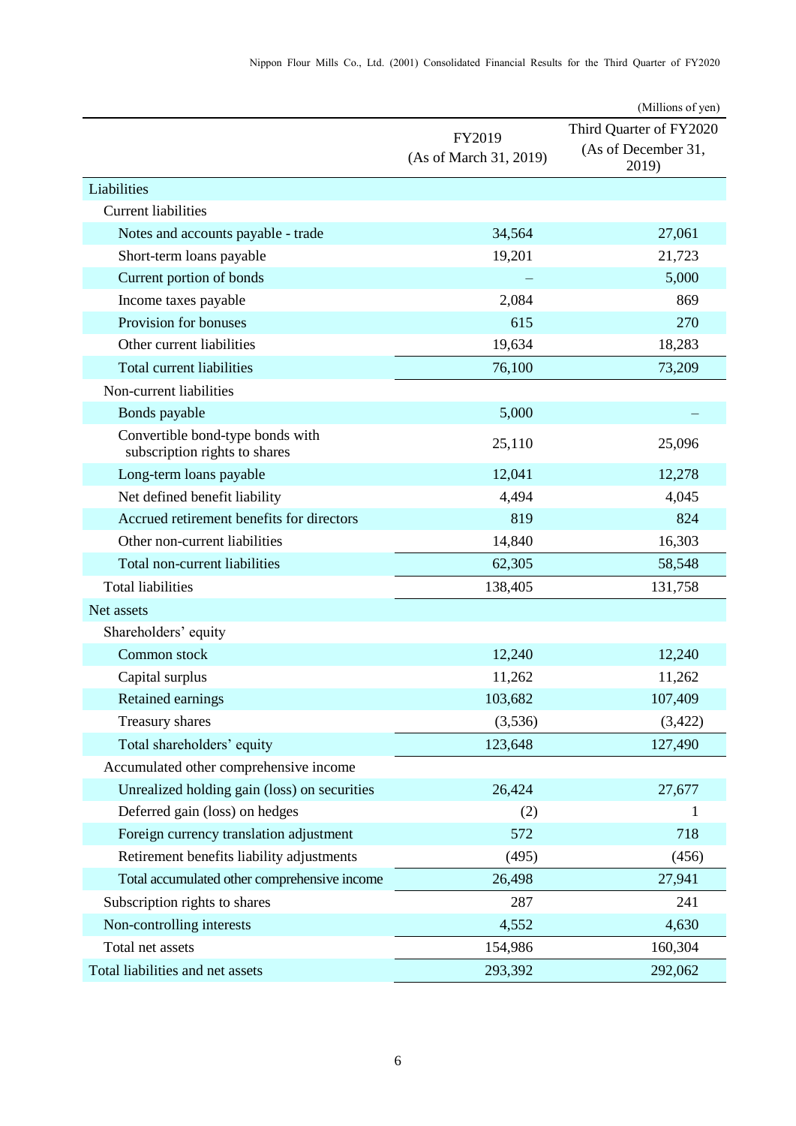|                                                                   |                                  | (Millions of yen)                                       |
|-------------------------------------------------------------------|----------------------------------|---------------------------------------------------------|
|                                                                   | FY2019<br>(As of March 31, 2019) | Third Quarter of FY2020<br>(As of December 31,<br>2019) |
| Liabilities                                                       |                                  |                                                         |
| <b>Current liabilities</b>                                        |                                  |                                                         |
| Notes and accounts payable - trade                                | 34,564                           | 27,061                                                  |
| Short-term loans payable                                          | 19,201                           | 21,723                                                  |
| Current portion of bonds                                          |                                  | 5,000                                                   |
| Income taxes payable                                              | 2,084                            | 869                                                     |
| Provision for bonuses                                             | 615                              | 270                                                     |
| Other current liabilities                                         | 19,634                           | 18,283                                                  |
| Total current liabilities                                         | 76,100                           | 73,209                                                  |
| Non-current liabilities                                           |                                  |                                                         |
| Bonds payable                                                     | 5,000                            |                                                         |
| Convertible bond-type bonds with<br>subscription rights to shares | 25,110                           | 25,096                                                  |
| Long-term loans payable                                           | 12,041                           | 12,278                                                  |
| Net defined benefit liability                                     | 4,494                            | 4,045                                                   |
| Accrued retirement benefits for directors                         | 819                              | 824                                                     |
| Other non-current liabilities                                     | 14,840                           | 16,303                                                  |
| Total non-current liabilities                                     | 62,305                           | 58,548                                                  |
| <b>Total liabilities</b>                                          | 138,405                          | 131,758                                                 |
| Net assets                                                        |                                  |                                                         |
| Shareholders' equity                                              |                                  |                                                         |
| Common stock                                                      | 12,240                           | 12,240                                                  |
| Capital surplus                                                   | 11,262                           | 11,262                                                  |
| Retained earnings                                                 | 103,682                          | 107,409                                                 |
| Treasury shares                                                   | (3,536)                          | (3,422)                                                 |
| Total shareholders' equity                                        | 123,648                          | 127,490                                                 |
| Accumulated other comprehensive income                            |                                  |                                                         |
| Unrealized holding gain (loss) on securities                      | 26,424                           | 27,677                                                  |
| Deferred gain (loss) on hedges                                    | (2)                              |                                                         |
| Foreign currency translation adjustment                           | 572                              | 718                                                     |
| Retirement benefits liability adjustments                         | (495)                            | (456)                                                   |
| Total accumulated other comprehensive income                      | 26,498                           | 27,941                                                  |
| Subscription rights to shares                                     | 287                              | 241                                                     |
| Non-controlling interests                                         | 4,552                            | 4,630                                                   |
| Total net assets                                                  | 154,986                          | 160,304                                                 |
| Total liabilities and net assets                                  | 293,392                          | 292,062                                                 |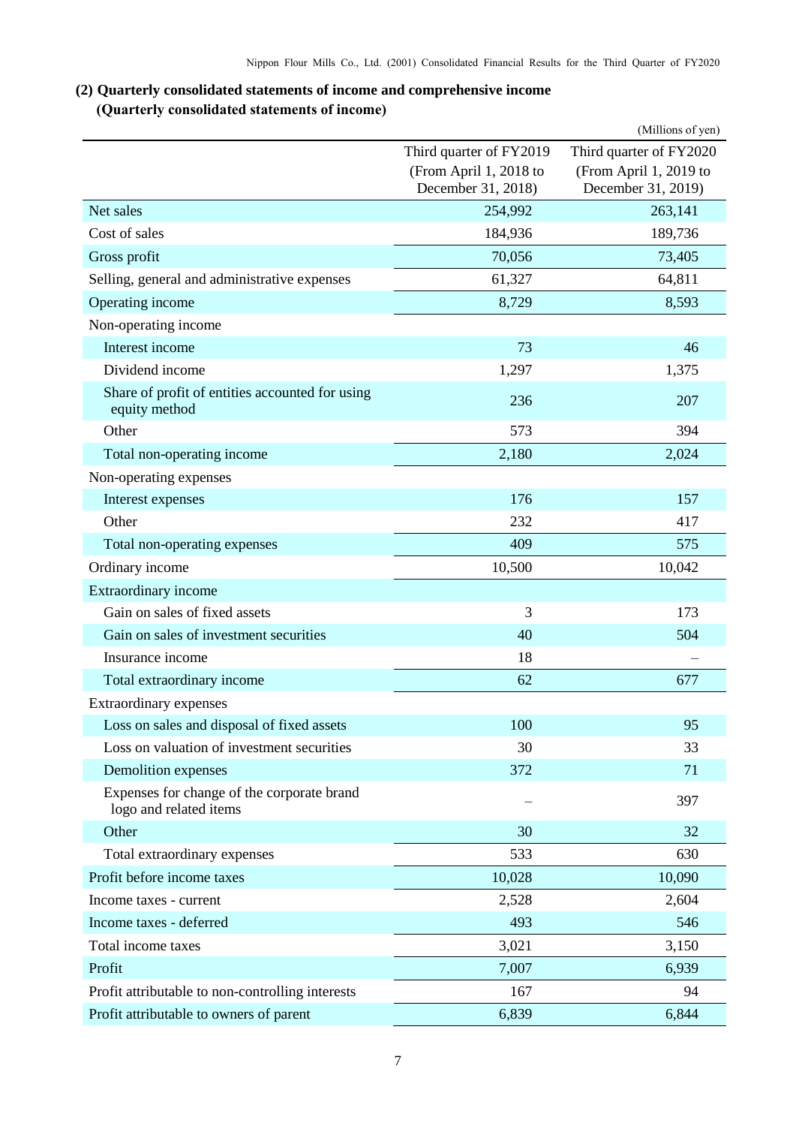## <span id="page-8-0"></span>**(2) Quarterly consolidated statements of income and comprehensive income (Quarterly consolidated statements of income)**

<span id="page-8-1"></span>

|                                                                      |                                              | (Millions of yen)                            |
|----------------------------------------------------------------------|----------------------------------------------|----------------------------------------------|
|                                                                      | Third quarter of FY2019                      | Third quarter of FY2020                      |
|                                                                      | (From April 1, 2018 to<br>December 31, 2018) | (From April 1, 2019 to<br>December 31, 2019) |
| Net sales                                                            | 254,992                                      | 263,141                                      |
| Cost of sales                                                        | 184,936                                      | 189,736                                      |
| Gross profit                                                         | 70,056                                       | 73,405                                       |
| Selling, general and administrative expenses                         | 61,327                                       | 64,811                                       |
| Operating income                                                     | 8,729                                        | 8,593                                        |
| Non-operating income                                                 |                                              |                                              |
| Interest income                                                      | 73                                           | 46                                           |
| Dividend income                                                      | 1,297                                        | 1,375                                        |
| Share of profit of entities accounted for using<br>equity method     | 236                                          | 207                                          |
| Other                                                                | 573                                          | 394                                          |
| Total non-operating income                                           | 2,180                                        | 2,024                                        |
| Non-operating expenses                                               |                                              |                                              |
| Interest expenses                                                    | 176                                          | 157                                          |
| Other                                                                | 232                                          | 417                                          |
| Total non-operating expenses                                         | 409                                          | 575                                          |
| Ordinary income                                                      | 10,500                                       | 10,042                                       |
| Extraordinary income                                                 |                                              |                                              |
| Gain on sales of fixed assets                                        | 3                                            | 173                                          |
| Gain on sales of investment securities                               | 40                                           | 504                                          |
| Insurance income                                                     | 18                                           |                                              |
| Total extraordinary income                                           | 62                                           | 677                                          |
| Extraordinary expenses                                               |                                              |                                              |
| Loss on sales and disposal of fixed assets                           | 100                                          | 95                                           |
| Loss on valuation of investment securities                           | 30                                           | 33                                           |
| Demolition expenses                                                  | 372                                          | 71                                           |
| Expenses for change of the corporate brand<br>logo and related items |                                              | 397                                          |
| Other                                                                | 30                                           | 32                                           |
| Total extraordinary expenses                                         | 533                                          | 630                                          |
| Profit before income taxes                                           | 10,028                                       | 10,090                                       |
| Income taxes - current                                               | 2,528                                        | 2,604                                        |
| Income taxes - deferred                                              | 493                                          | 546                                          |
| Total income taxes                                                   | 3,021                                        | 3,150                                        |
| Profit                                                               | 7,007                                        | 6,939                                        |
| Profit attributable to non-controlling interests                     | 167                                          | 94                                           |
| Profit attributable to owners of parent                              | 6,839                                        | 6,844                                        |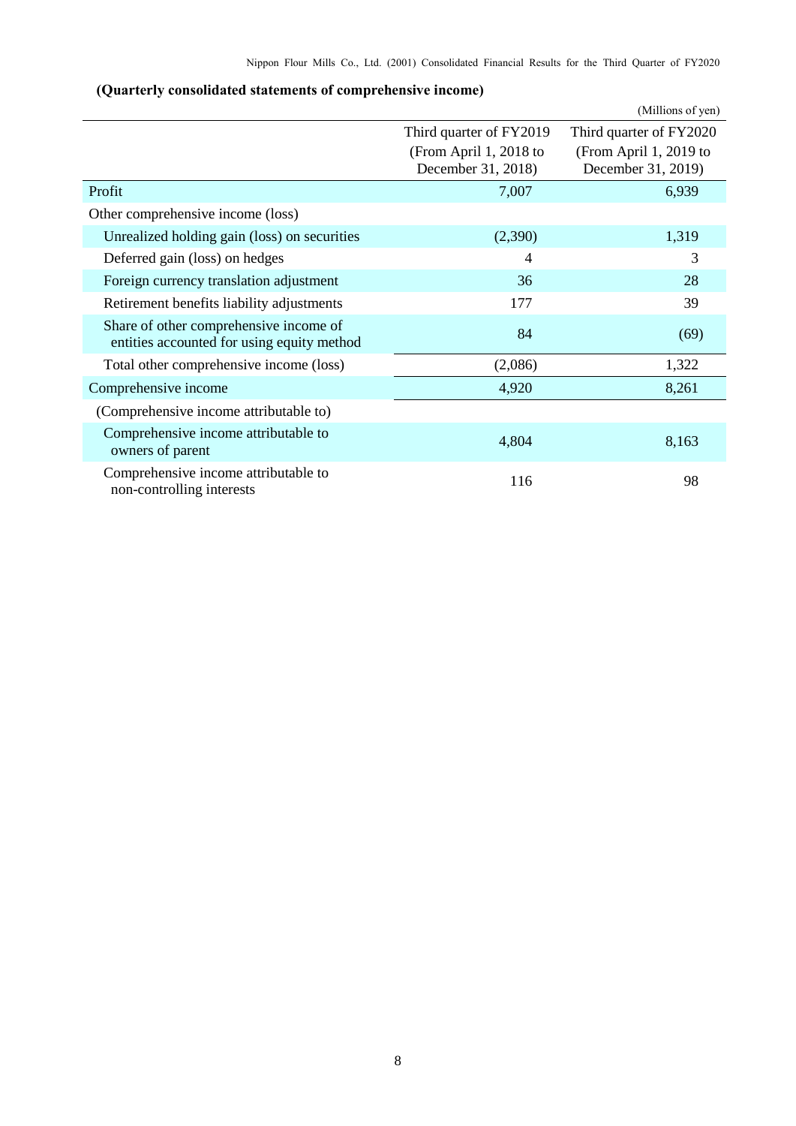## <span id="page-9-0"></span>**(Quarterly consolidated statements of comprehensive income)**

|                                                                                      |                                              | (Millions of yen)                            |
|--------------------------------------------------------------------------------------|----------------------------------------------|----------------------------------------------|
|                                                                                      | Third quarter of FY2019                      | Third quarter of FY2020                      |
|                                                                                      | (From April 1, 2018 to<br>December 31, 2018) | (From April 1, 2019 to<br>December 31, 2019) |
| Profit                                                                               | 7,007                                        | 6,939                                        |
| Other comprehensive income (loss)                                                    |                                              |                                              |
| Unrealized holding gain (loss) on securities                                         | (2,390)                                      | 1,319                                        |
| Deferred gain (loss) on hedges                                                       | 4                                            | 3                                            |
| Foreign currency translation adjustment                                              | 36                                           | 28                                           |
| Retirement benefits liability adjustments                                            | 177                                          | 39                                           |
| Share of other comprehensive income of<br>entities accounted for using equity method | 84                                           | (69)                                         |
| Total other comprehensive income (loss)                                              | (2,086)                                      | 1,322                                        |
| Comprehensive income                                                                 | 4,920                                        | 8,261                                        |
| (Comprehensive income attributable to)                                               |                                              |                                              |
| Comprehensive income attributable to<br>owners of parent                             | 4,804                                        | 8,163                                        |
| Comprehensive income attributable to<br>non-controlling interests                    | 116                                          | 98                                           |